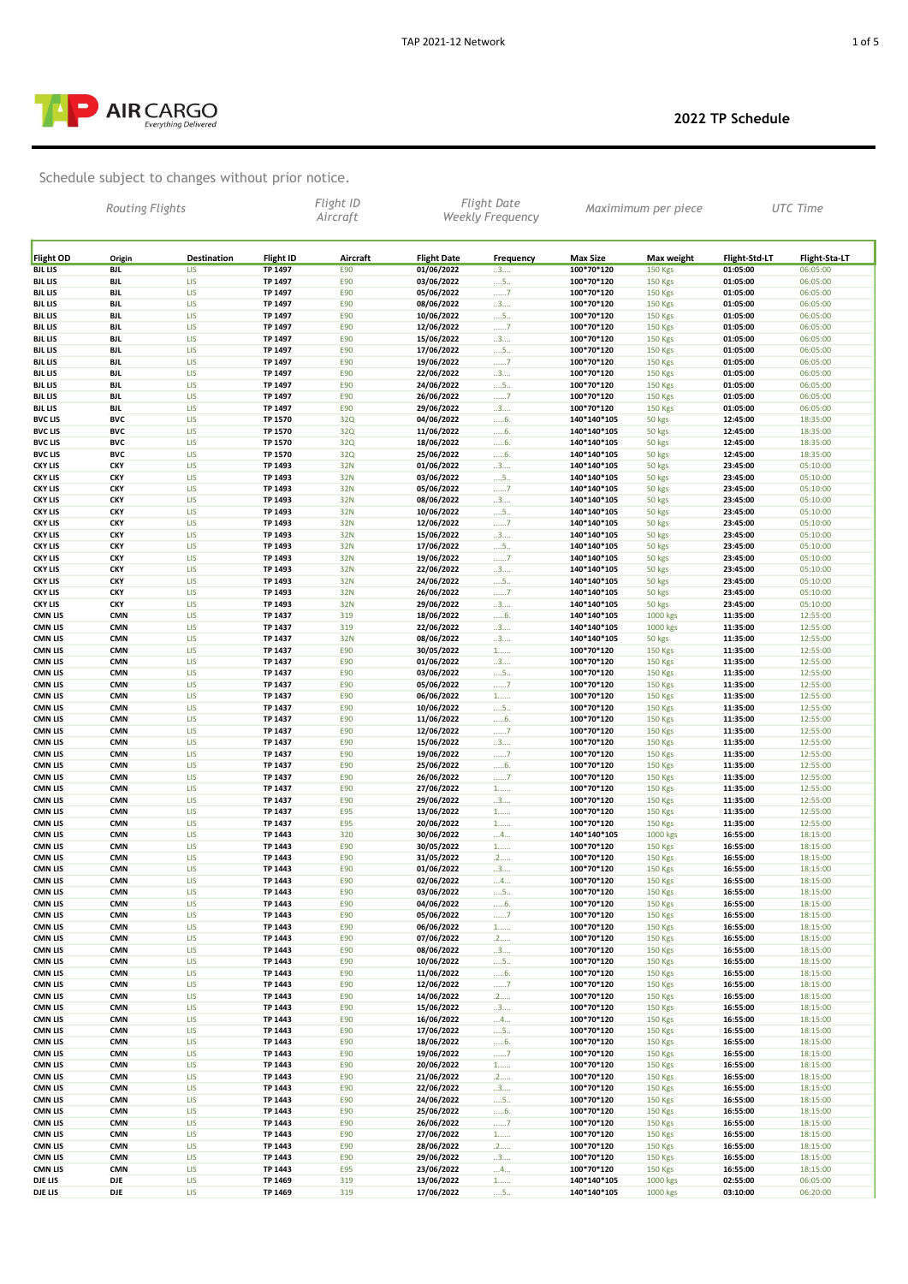

|                                  |                          | <b>AIR CARGO</b><br><b>Everything Delivered</b>   |                    |                       |                          |                                        |                          |                                  | 2022 TP Schedule     |                      |
|----------------------------------|--------------------------|---------------------------------------------------|--------------------|-----------------------|--------------------------|----------------------------------------|--------------------------|----------------------------------|----------------------|----------------------|
|                                  | Routing Flights          | Schedule subject to changes without prior notice. |                    | Flight ID<br>Aircraft |                          | Flight Date<br><b>Weekly Frequency</b> |                          | Maximimum per piece              |                      | <b>UTC</b> Time      |
| <b>Flight OD</b>                 | Origin                   | Destination                                       | <b>Flight ID</b>   | Aircraft              | <b>Flight Date</b>       | Frequency                              | <b>Max Size</b>          | Max weight                       | Flight-Std-LT        | Flight-Sta-LT        |
| <b>BJL LIS</b>                   | BJL                      | <b>LIS</b>                                        | TP 1497            | E90                   | 01/06/2022               | 3                                      | 100*70*120               | <b>150 Kgs</b>                   | 01:05:00             | 06:05:00             |
| <b>BJL LIS</b>                   | BJL                      | <b>LIS</b>                                        | TP 1497            | E90                   | 03/06/2022               | $\dots$ 5                              | 100*70*120               | <b>150 Kgs</b>                   | 01:05:00             | 06:05:00             |
| <b>BJL LIS</b>                   | <b>BJL</b>               | <b>LIS</b>                                        | TP 1497            | E90                   | 05/06/2022               | 7                                      | 100*70*120               | 150 Kgs                          | 01:05:00             | 06:05:00             |
| <b>BJL LIS</b>                   | <b>BJL</b>               | <b>LIS</b>                                        | TP 1497            | E90                   | 08/06/2022               | 3                                      | 100*70*120               | 150 Kgs                          | 01:05:00             | 06:05:00             |
| <b>BJL LIS</b>                   | <b>BJL</b>               | <b>LIS</b>                                        | TP 1497            | E90                   | 10/06/2022               | $\dots$ 5.                             | 100*70*120               | <b>150 Kgs</b>                   | 01:05:00             | 06:05:00             |
| <b>BJL LIS</b>                   | <b>BJL</b>               | <b>LIS</b>                                        | TP 1497            | E90                   | 12/06/2022               | 7                                      | 100*70*120               | <b>150 Kgs</b>                   | 01:05:00             | 06:05:00             |
| <b>BJL LIS</b>                   | <b>BJL</b>               | <b>LIS</b>                                        | TP 1497            | E90                   | 15/06/2022               | 3                                      | 100*70*120               | <b>150 Kgs</b>                   | 01:05:00             | 06:05:00             |
| <b>BJL LIS</b>                   | <b>BJL</b>               | <b>LIS</b>                                        | TP 1497            | E90                   | 17/06/2022               | $\dots$ 5                              | 100*70*120               | <b>150 Kgs</b>                   | 01:05:00             | 06:05:00             |
| <b>BJL LIS</b>                   | <b>BJL</b>               | <b>LIS</b>                                        | TP 1497            | E90                   | 19/06/2022               | 7                                      | 100*70*120               | <b>150 Kgs</b>                   | 01:05:00             | 06:05:00             |
| <b>BJL LIS</b>                   | <b>BJL</b>               | <b>LIS</b>                                        | TP 1497            | E90                   | 22/06/2022               | 3                                      | 100*70*120               | <b>150 Kgs</b>                   | 01:05:00             | 06:05:00             |
| <b>BJL LIS</b>                   | <b>BJL</b>               | <b>LIS</b>                                        | TP 1497            | E90                   | 24/06/2022               | $\dots$ 5                              | 100*70*120               | <b>150 Kgs</b>                   | 01:05:00             | 06:05:00             |
| <b>BJL LIS</b>                   | BJL                      | LIS                                               | TP 1497            | E90                   | 26/06/2022               | 7                                      | 100*70*120               | <b>150 Kgs</b>                   | 01:05:00             | 06:05:00             |
| <b>BJL LIS</b>                   | BJL                      | LIS                                               | TP 1497            | E90                   | 29/06/2022               | 3                                      | 100*70*120               | <b>150 Kgs</b>                   | 01:05:00             | 06:05:00             |
| <b>BVC LIS</b>                   | <b>BVC</b>               | LIS                                               | TP 1570            | 32Q                   | 04/06/2022               | 6.                                     | 140*140*105              | 50 kgs                           | 12:45:00             | 18:35:00             |
| <b>BVC LIS</b>                   | <b>BVC</b>               | <b>LIS</b>                                        | TP 1570            | 32Q                   | 11/06/2022               | 6.                                     | 140*140*105              | 50 kgs                           | 12:45:00             | 18:35:00             |
| <b>BVC LIS</b>                   | <b>BVC</b>               | LIS                                               | TP 1570            | 32Q                   | 18/06/2022               | 6.                                     | 140*140*105              | 50 kgs                           | 12:45:00             | 18:35:00             |
| <b>BVC LIS</b>                   | <b>BVC</b>               | LIS                                               | TP 1570            | 32Q                   | 25/06/2022               | 6.                                     | 140*140*105              | 50 kgs                           | 12:45:00             | 18:35:00             |
| <b>CKY LIS</b>                   | <b>CKY</b>               | LIS                                               | TP 1493            | 32N                   | 01/06/2022               | 3                                      | 140*140*105              | 50 kgs                           | 23:45:00             | 05:10:00             |
| <b>CKY LIS</b>                   | <b>CKY</b>               | <b>LIS</b>                                        | TP 1493            | 32N                   | 03/06/2022               | $\dots$ 5                              | 140*140*105              | 50 kgs                           | 23:45:00             | 05:10:00             |
| <b>CKY LIS</b>                   | <b>CKY</b>               | <b>LIS</b>                                        | TP 1493            | 32N                   | 05/06/2022               | 7                                      | 140*140*105              | 50 kgs                           | 23:45:00             | 05:10:00             |
| <b>CKY LIS</b>                   | <b>CKY</b>               | LIS                                               | TP 1493            | 32N                   | 08/06/2022               | 3                                      | 140*140*105              | 50 kgs                           | 23:45:00             | 05:10:00             |
| <b>CKY LIS</b>                   | <b>CKY</b>               | <b>LIS</b>                                        | TP 1493            | 32N                   | 10/06/2022               | $\dots$ 5.                             | 140*140*105              | 50 kgs                           | 23:45:00             | 05:10:00             |
| <b>CKY LIS</b>                   | <b>CKY</b>               | <b>LIS</b>                                        | TP 1493            | 32N                   | 12/06/2022               | 7                                      | 140*140*105              | 50 kgs                           | 23:45:00             | 05:10:00             |
| <b>CKY LIS</b>                   | <b>CKY</b>               | <b>LIS</b>                                        | TP 1493            | 32N                   | 15/06/2022               | 3                                      | 140*140*105              | 50 kgs                           | 23:45:00             | 05:10:00             |
| <b>CKY LIS</b>                   | <b>CKY</b>               | <b>LIS</b>                                        | TP 1493            | 32N                   | 17/06/2022               | $\dots$ 5.                             | 140*140*105              | 50 kgs                           | 23:45:00             | 05:10:00             |
| <b>CKY LIS</b>                   | <b>CKY</b>               | <b>LIS</b>                                        | TP 1493            | 32N                   | 19/06/2022               | 7                                      | 140*140*105              | 50 kgs                           | 23:45:00             | 05:10:00             |
| <b>CKY LIS</b>                   | <b>CKY</b>               | <b>LIS</b>                                        | TP 1493            | 32N                   | 22/06/2022               | 3                                      | 140*140*105              | 50 kgs                           | 23:45:00             | 05:10:00             |
| <b>CKY LIS</b>                   | <b>CKY</b>               | <b>LIS</b>                                        | TP 1493            | 32N                   | 24/06/2022               | $\dots$ 5.                             | 140*140*105              |                                  | 23:45:00             | 05:10:00             |
| <b>CKY LIS</b>                   | <b>CKY</b>               | <b>LIS</b>                                        | TP 1493            | 32N                   | 26/06/2022               | 7                                      | 140*140*105              | 50 kgs<br>50 kgs                 | 23:45:00             | 05:10:00             |
| <b>CKY LIS</b>                   | <b>CKY</b>               | <b>LIS</b>                                        | TP 1493            | 32N                   | 29/06/2022               | 3                                      | 140*140*105              | 50 kgs                           | 23:45:00             | 05:10:00             |
| <b>CMN LIS</b>                   | <b>CMN</b>               | <b>LIS</b>                                        | TP 1437            | 319                   | 18/06/2022               | 6.                                     | 140*140*105              | 1000 kgs                         | 11:35:00             | 12:55:00             |
| <b>CMN LIS</b>                   | <b>CMN</b>               | <b>LIS</b><br><b>LIS</b>                          | TP 1437            | 319                   | 22/06/2022               | 3                                      | 140*140*105              | 1000 kgs                         | 11:35:00             | 12:55:00             |
| <b>CMN LIS</b>                   | <b>CMN</b>               | <b>LIS</b>                                        | TP 1437            | 32N                   | 08/06/2022               | 3                                      | 140*140*105              | 50 kgs                           | 11:35:00             | 12:55:00             |
| <b>CMN LIS</b>                   | <b>CMN</b>               |                                                   | TP 1437            | E90                   | 30/05/2022               | $1$                                    | 100*70*120               | <b>150 Kgs</b>                   | 11:35:00             | 12:55:00             |
| <b>CMN LIS</b>                   | <b>CMN</b>               | LIS                                               | TP 1437            | E90                   | 01/06/2022               | 3                                      | 100*70*120               | 150 Kgs                          | 11:35:00             | 12:55:00             |
| <b>CMN LIS</b>                   | <b>CMN</b>               | LIS                                               | TP 1437            | E90                   | 03/06/2022               | $\dots$ 5                              | 100*70*120               | <b>150 Kgs</b>                   | 11:35:00             | 12:55:00             |
| <b>CMN LIS</b>                   | <b>CMN</b>               | LIS                                               | TP 1437            | E90                   | 05/06/2022               | 7                                      | 100*70*120               | 150 Kgs                          | 11:35:00             | 12:55:00             |
| <b>CMN LIS</b>                   | <b>CMN</b>               | LIS                                               | TP 1437            | E90                   | 06/06/2022               | $1$                                    | 100*70*120               | <b>150 Kgs</b>                   | 11:35:00             | 12:55:00             |
| <b>CMN LIS</b>                   | <b>CMN</b>               | LIS                                               | TP 1437            | E90                   | 10/06/2022               | 5                                      | 100*70*120               | 150 Kgs                          | 11:35:00             | 12:55:00             |
| <b>CMN LIS</b>                   | <b>CMN</b>               | <b>LIS</b>                                        | TP 1437            | E90                   | 11/06/2022               | 6.                                     | 100*70*120               | <b>150 Kgs</b>                   | 11:35:00             | 12:55:00             |
| <b>CMN LIS</b>                   | <b>CMN</b>               | LIS                                               | TP 1437            | E90                   | 12/06/2022               | 7                                      | 100*70*120               | 150 Kgs                          | 11:35:00             | 12:55:00             |
| <b>CMN LIS</b>                   | <b>CMN</b>               | <b>LIS</b>                                        | TP 1437            | E90                   | 15/06/2022               | 3                                      | 100*70*120               | <b>150 Kgs</b>                   | 11:35:00             | 12:55:00             |
| <b>CMN LIS</b>                   | <b>CMN</b>               | <b>LIS</b>                                        | TP 1437            | E90                   | 19/06/2022               | 7                                      | 100*70*120               | <b>150 Kgs</b>                   | 11:35:00             | 12:55:00             |
| <b>CMN LIS</b>                   | <b>CMN</b>               | LIS                                               | TP 1437            | E90                   | 25/06/2022               | 6.                                     | 100*70*120               | <b>150 Kgs</b>                   | 11:35:00             | 12:55:00             |
| <b>CMN LIS</b>                   | <b>CMN</b>               | LIS                                               | TP 1437            | E90                   | 26/06/2022               | 7                                      | 100*70*120               | <b>150 Kgs</b>                   | 11:35:00             | 12:55:00             |
| <b>CMN LIS</b>                   | <b>CMN</b>               | <b>LIS</b>                                        | TP 1437            | E90                   | 27/06/2022               |                                        | 100*70*120               | <b>150 Kgs</b>                   | 11:35:00             | 12:55:00             |
| <b>CMN LIS</b>                   | <b>CMN</b>               | <b>LIS</b>                                        | TP 1437            | E90                   | 29/06/2022               | $1$<br>3                               | 100*70*120               | <b>150 Kgs</b>                   | 11:35:00             | 12:55:00             |
| <b>CMN LIS</b>                   | <b>CMN</b>               | <b>LIS</b>                                        | TP 1437            | <b>E95</b>            | 13/06/2022               | 1                                      | 100*70*120               | 150 Kgs                          | 11:35:00             | 12:55:00             |
| <b>CMN LIS</b>                   | <b>CMN</b>               | <b>LIS</b>                                        | TP 1437            | <b>E95</b>            | 20/06/2022               | $1$                                    | 100*70*120               | 150 Kgs                          | 11:35:00             | 12:55:00             |
| <b>CMN LIS</b>                   | <b>CMN</b>               | <b>LIS</b>                                        | TP 1443            | 320                   | 30/06/2022               | $\dots$ 4                              | 140*140*105              | 1000 kgs                         | 16:55:00             | 18:15:00             |
| <b>CMN LIS</b>                   | <b>CMN</b>               | <b>LIS</b>                                        | TP 1443            | E90                   | 30/05/2022               | $1$                                    | 100*70*120               | 150 Kgs                          | 16:55:00             | 18:15:00             |
| <b>CMN LIS</b>                   | <b>CMN</b>               | <b>LIS</b>                                        | TP 1443            | E90                   | 31/05/2022               | .2                                     | 100*70*120               | <b>150 Kgs</b>                   | 16:55:00             | 18:15:00             |
| <b>CMN LIS</b>                   | <b>CMN</b>               | <b>LIS</b>                                        | TP 1443            | E90                   | 01/06/2022               | 3                                      | 100*70*120               | 150 Kgs                          | 16:55:00             | 18:15:00             |
| <b>CMN LIS</b>                   | <b>CMN</b>               | <b>LIS</b>                                        | TP 1443            | E90                   | 02/06/2022               | $\dots$ 4                              | 100*70*120               | <b>150 Kgs</b>                   | 16:55:00             | 18:15:00             |
| <b>CMN LIS</b>                   | <b>CMN</b>               | <b>LIS</b>                                        | TP 1443            | E90                   | 03/06/2022               | $\dots$ 5.                             | 100*70*120               | <b>150 Kgs</b>                   | 16:55:00             | 18:15:00             |
| <b>CMN LIS</b>                   | <b>CMN</b>               | <b>LIS</b>                                        | TP 1443            | E90                   | 04/06/2022               | 6                                      | 100*70*120               | <b>150 Kgs</b>                   | 16:55:00             | 18:15:00             |
| <b>CMN LIS</b>                   | <b>CMN</b>               | <b>LIS</b>                                        | TP 1443            | E90                   | 05/06/2022               | 7                                      | 100*70*120               | <b>150 Kgs</b>                   | 16:55:00             | 18:15:00             |
| <b>CMN LIS</b>                   | <b>CMN</b>               | <b>LIS</b>                                        | TP 1443            | E90                   | 06/06/2022               | $1$                                    | 100*70*120               | <b>150 Kgs</b>                   | 16:55:00             | 18:15:00             |
| <b>CMN LIS</b>                   | <b>CMN</b>               | LIS                                               | TP 1443            | E90                   | 07/06/2022               | .2                                     | 100*70*120               | <b>150 Kgs</b>                   | 16:55:00             | 18:15:00             |
| <b>CMN LIS</b>                   | <b>CMN</b>               | LIS                                               | TP 1443            | E90                   | 08/06/2022               | 3                                      | 100*70*120               | 150 Kgs                          | 16:55:00             | 18:15:00             |
| <b>CMN LIS</b>                   | <b>CMN</b>               | LIS                                               | TP 1443            | E90                   | 10/06/2022               | $\dots$ 5.                             | 100*70*120               | <b>150 Kgs</b>                   | 16:55:00             | 18:15:00             |
| <b>CMN LIS</b>                   | <b>CMN</b>               | <b>LIS</b>                                        | TP 1443            | E90                   | 11/06/2022               | 6.                                     | 100*70*120               | <b>150 Kgs</b>                   | 16:55:00             | 18:15:00             |
| <b>CMN LIS</b>                   | <b>CMN</b>               | LIS                                               | TP 1443            | E90                   | 12/06/2022               | 1, 2, 3, 7                             | 100*70*120               | <b>150 Kgs</b>                   | 16:55:00             | 18:15:00             |
| <b>CMN LIS</b>                   | <b>CMN</b>               | LIS                                               | TP 1443            | E90                   | 14/06/2022               | .2                                     | 100*70*120               | <b>150 Kgs</b>                   | 16:55:00             | 18:15:00             |
| <b>CMN LIS</b>                   | <b>CMN</b>               | LIS                                               | TP 1443            | E90                   | 15/06/2022               | 3                                      | 100*70*120               | <b>150 Kgs</b>                   | 16:55:00             | 18:15:00             |
| <b>CMN LIS</b>                   | <b>CMN</b>               | LIS                                               | TP 1443            | E90                   | 16/06/2022               | 4                                      | 100*70*120               | <b>150 Kgs</b>                   | 16:55:00             | 18:15:00             |
| <b>CMN LIS</b>                   | <b>CMN</b>               | LIS                                               | TP 1443            | E90                   | 17/06/2022               | $\dots$ 5                              | 100*70*120               | <b>150 Kgs</b>                   | 16:55:00             | 18:15:00             |
| <b>CMN LIS</b>                   | <b>CMN</b>               | LIS                                               | TP 1443            | E90                   | 18/06/2022               | 6.                                     | 100*70*120               | <b>150 Kgs</b>                   | 16:55:00             | 18:15:00             |
| <b>CMN LIS</b>                   | <b>CMN</b>               | LIS                                               | TP 1443            | E90                   | 19/06/2022               | 7                                      | 100*70*120               | <b>150 Kgs</b>                   | 16:55:00             | 18:15:00             |
| <b>CMN LIS</b>                   | <b>CMN</b>               | <b>LIS</b>                                        | TP 1443            | E90                   | 20/06/2022               | $1$                                    | 100*70*120               | <b>150 Kgs</b>                   | 16:55:00             | 18:15:00             |
| <b>CMN LIS</b>                   | <b>CMN</b>               | <b>LIS</b>                                        | TP 1443            | E90                   | 21/06/2022               | .2                                     | 100*70*120               | 150 Kgs                          | 16:55:00             | 18:15:00             |
| <b>CMN LIS</b>                   | <b>CMN</b>               | <b>LIS</b>                                        | TP 1443            | E90                   | 22/06/2022               | 3                                      | 100*70*120               | 150 Kgs                          | 16:55:00             | 18:15:00             |
| <b>CMN LIS</b>                   | <b>CMN</b>               | <b>LIS</b>                                        | TP 1443            | E90                   | 24/06/2022               | $\dots$ 5                              | 100*70*120               | <b>150 Kgs</b>                   | 16:55:00             | 18:15:00             |
| <b>CMN LIS</b>                   | <b>CMN</b>               | <b>LIS</b>                                        | TP 1443            | E90                   | 25/06/2022               | 6.                                     | 100*70*120               | <b>150 Kgs</b>                   | 16:55:00             | 18:15:00             |
| <b>CMN LIS</b>                   | <b>CMN</b>               | <b>LIS</b>                                        | TP 1443            | E90                   | 26/06/2022               | 1, 2, 3, 7                             | 100*70*120               | <b>150 Kgs</b>                   | 16:55:00             | 18:15:00             |
| <b>CMN LIS</b>                   | <b>CMN</b>               | <b>LIS</b>                                        | TP 1443            | E90                   | 27/06/2022               | $1$                                    | 100*70*120               | <b>150 Kgs</b>                   | 16:55:00             | 18:15:00             |
| <b>CMN LIS</b><br><b>CMN LIS</b> | <b>CMN</b><br><b>CMN</b> | <b>LIS</b><br>LIS                                 | TP 1443            | E90<br>E90            | 28/06/2022<br>29/06/2022 | .2                                     | 100*70*120               | <b>150 Kgs</b><br><b>150 Kgs</b> | 16:55:00             | 18:15:00<br>18:15:00 |
| <b>CMN LIS</b>                   | <b>CMN</b>               | <b>LIS</b>                                        | TP 1443<br>TP 1443 | <b>E95</b>            | 23/06/2022               | 3<br>$\dots$ 4.                        | 100*70*120<br>100*70*120 | <b>150 Kgs</b>                   | 16:55:00<br>16:55:00 | 18:15:00             |
| DJE LIS<br>DJE LIS               | DJE<br>DJE               | LIS<br><b>LIS</b>                                 | TP 1469<br>TP 1469 | 319<br>319            | 13/06/2022               | $1$                                    | 140*140*105              | 1000 kgs                         | 02:55:00             | 06:05:00             |
|                                  |                          |                                                   |                    |                       | 17/06/2022               | $\dots$ 5                              | 140*140*105              | 1000 kgs                         | 03:10:00             | 06:20:00             |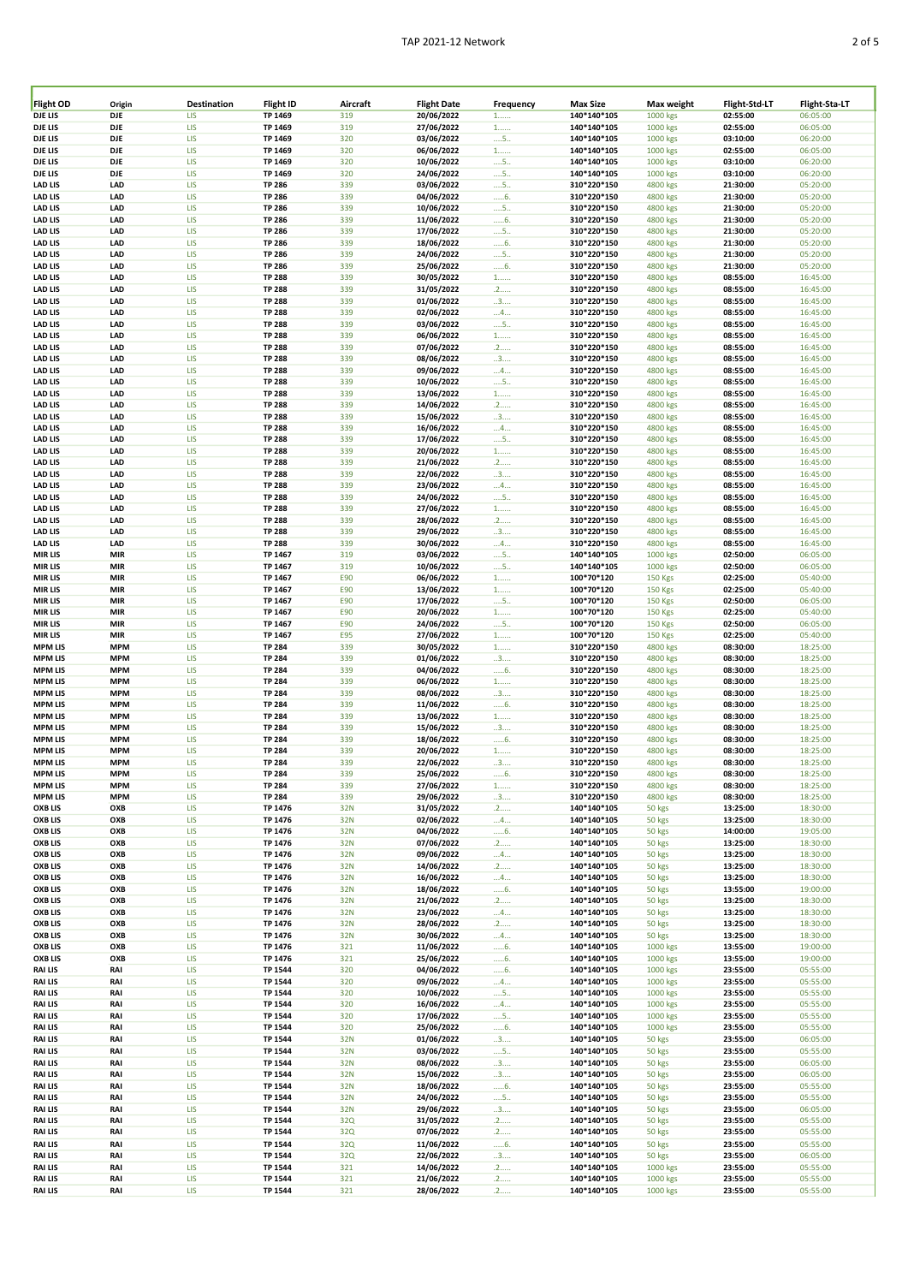| Flight OD                        | Origin     | Destination | Flight ID          | Aircraft   | <b>Flight Date</b>       | Frequency         | <b>Max Size</b>            | Max weight     | Flight-Std-LT        | Flight-Sta-LT        |
|----------------------------------|------------|-------------|--------------------|------------|--------------------------|-------------------|----------------------------|----------------|----------------------|----------------------|
| DJE LIS                          | DJE        | LIS         | TP 1469            | 319        | 20/06/2022               | $1$               | 140*140*105                | 1000 kgs       | 02:55:00             | 06:05:00             |
| DJE LIS                          | DJE        | LIS         | TP 1469            | 319        | 27/06/2022               | $1$               | 140*140*105                | 1000 kgs       | 02:55:00             | 06:05:00             |
| <b>DJE LIS</b>                   | DJE        | LIS         | TP 1469            | 320        | 03/06/2022               | $\dots$ 5         | 140*140*105                | 1000 kgs       | 03:10:00             | 06:20:00             |
| DJE LIS                          | DJE        | LIS         | TP 1469            | 320        | 06/06/2022               | $1$               | 140*140*105                | 1000 kgs       | 02:55:00             | 06:05:00             |
| DJE LIS                          | DJE        | <b>LIS</b>  | TP 1469            | 320        | 10/06/2022               | $\dots$ 5         | 140*140*105                | 1000 kgs       | 03:10:00             | 06:20:00             |
| DJE LIS                          | DJE        | LIS         | TP 1469            | 320        | 24/06/2022               | $\dots$ 5.        | 140*140*105                | 1000 kgs       | 03:10:00             | 06:20:00             |
| <b>LAD LIS</b>                   | LAD        | <b>LIS</b>  | <b>TP 286</b>      | 339        | 03/06/2022               | $\dots$ 5         | 310*220*150                | 4800 kgs       | 21:30:00             | 05:20:00             |
| <b>LAD LIS</b>                   | LAD        | LIS         | <b>TP 286</b>      | 339        | 04/06/2022               | $6$ .             | 310*220*150                | 4800 kgs       | 21:30:00             | 05:20:00             |
| <b>LAD LIS</b>                   | LAD        | <b>LIS</b>  | <b>TP 286</b>      | 339        | 10/06/2022               | $\dots$ 5.        | 310*220*150                | 4800 kgs       | 21:30:00             | 05:20:00             |
| <b>LAD LIS</b>                   | LAD        | LIS         | <b>TP 286</b>      | 339        | 11/06/2022               | 6.                | 310*220*150                | 4800 kgs       | 21:30:00             | 05:20:00             |
| <b>LAD LIS</b>                   | LAD        | LIS         | <b>TP 286</b>      | 339        | 17/06/2022               | $\dots$ 5.        | 310*220*150                | 4800 kgs       | 21:30:00             | 05:20:00             |
| <b>LAD LIS</b>                   | LAD        | LIS         | <b>TP 286</b>      | 339        | 18/06/2022               | 6.                | 310*220*150                | 4800 kgs       | 21:30:00             | 05:20:00             |
| <b>LAD LIS</b>                   | LAD        | LIS         | <b>TP 286</b>      | 339        | 24/06/2022               | $\dots$ 5.        | 310*220*150                | 4800 kgs       | 21:30:00             | 05:20:00             |
| <b>LAD LIS</b>                   | LAD        | LIS         | <b>TP 286</b>      | 339        | 25/06/2022               | 6.                | 310*220*150                | 4800 kgs       | 21:30:00             | 05:20:00             |
| <b>LAD LIS</b>                   | LAD        | LIS         | <b>TP 288</b>      | 339        | 30/05/2022               | $1$               | 310*220*150                | 4800 kgs       | 08:55:00             | 16:45:00             |
| <b>LAD LIS</b>                   | LAD        | LIS         |                    | 339        | 31/05/2022               | .2                |                            |                |                      |                      |
|                                  | LAD        | LIS         | <b>TP 288</b>      | 339        | 01/06/2022               |                   | 310*220*150                | 4800 kgs       | 08:55:00             | 16:45:00             |
| <b>LAD LIS</b>                   |            |             | <b>TP 288</b>      |            |                          | 3                 | 310*220*150                | 4800 kgs       | 08:55:00             | 16:45:00             |
| <b>LAD LIS</b>                   | LAD        | LIS         | <b>TP 288</b>      | 339        | 02/06/2022               | 4                 | 310*220*150                | 4800 kgs       | 08:55:00             | 16:45:00             |
| <b>LAD LIS</b>                   | LAD        | LIS         | <b>TP 288</b>      | 339        | 03/06/2022               | $\dots$ 5         | 310*220*150                | 4800 kgs       | 08:55:00             | 16:45:00             |
| <b>LAD LIS</b>                   | LAD        | <b>LIS</b>  | <b>TP 288</b>      | 339        | 06/06/2022               | $1$               | 310*220*150                | 4800 kgs       | 08:55:00             | 16:45:00             |
| <b>LAD LIS</b>                   | LAD        | LIS         | <b>TP 288</b>      | 339        | 07/06/2022               | .2                | 310*220*150                | 4800 kgs       | 08:55:00             | 16:45:00             |
| <b>LAD LIS</b>                   | LAD        | LIS         | <b>TP 288</b>      | 339        | 08/06/2022               | 3                 | 310*220*150                | 4800 kgs       | 08:55:00             | 16:45:00             |
| <b>LAD LIS</b>                   | LAD        | LIS         | <b>TP 288</b>      | 339        | 09/06/2022               | 4                 | 310*220*150                | 4800 kgs       | 08:55:00             | 16:45:00             |
| <b>LAD LIS</b>                   | LAD        | <b>LIS</b>  | <b>TP 288</b>      | 339        | 10/06/2022               | $\dots$ 5         | 310*220*150                | 4800 kgs       | 08:55:00             | 16:45:00             |
| <b>LAD LIS</b>                   | LAD        | LIS         | <b>TP 288</b>      | 339        | 13/06/2022               | $1$               | 310*220*150                | 4800 kgs       | 08:55:00             | 16:45:00             |
| <b>LAD LIS</b>                   | LAD        | LIS         | <b>TP 288</b>      | 339        | 14/06/2022               | .2                | 310*220*150                | 4800 kgs       | 08:55:00             | 16:45:00             |
| <b>LAD LIS</b>                   | LAD        | LIS         | <b>TP 288</b>      | 339        | 15/06/2022               | 3                 | 310*220*150                | 4800 kgs       | 08:55:00             | 16:45:00             |
| <b>LAD LIS</b>                   | LAD        | LIS         | <b>TP 288</b>      | 339        | 16/06/2022               | 4                 | 310*220*150                | 4800 kgs       | 08:55:00             | 16:45:00             |
| <b>LAD LIS</b>                   | LAD        | LIS         | <b>TP 288</b>      | 339        | 17/06/2022               | 5                 | 310*220*150                | 4800 kgs       | 08:55:00             | 16:45:00             |
| <b>LAD LIS</b>                   | LAD        | LIS         | <b>TP 288</b>      | 339        | 20/06/2022               | $1$               | 310*220*150                | 4800 kgs       | 08:55:00             | 16:45:00             |
| <b>LAD LIS</b>                   | LAD        | LIS         | <b>TP 288</b>      | 339        | 21/06/2022               | .2                | 310*220*150                | 4800 kgs       | 08:55:00             | 16:45:00             |
| <b>LAD LIS</b>                   | LAD        | LIS         | <b>TP 288</b>      | 339        | 22/06/2022               | 3                 | 310*220*150                | 4800 kgs       | 08:55:00             | 16:45:00             |
| <b>LAD LIS</b>                   | LAD        | LIS         | <b>TP 288</b>      | 339        | 23/06/2022               | 4                 | 310*220*150                | 4800 kgs       | 08:55:00             | 16:45:00             |
| <b>LAD LIS</b>                   | LAD        | LIS         | <b>TP 288</b>      | 339        | 24/06/2022               | $\dots$ 5         | 310*220*150                | 4800 kgs       | 08:55:00             | 16:45:00             |
| <b>LAD LIS</b>                   | LAD        | LIS         | <b>TP 288</b>      | 339        | 27/06/2022               | $1$               | 310*220*150                | 4800 kgs       | 08:55:00             | 16:45:00             |
| <b>LAD LIS</b>                   | LAD        | LIS         | <b>TP 288</b>      | 339        | 28/06/2022               | .2                | 310*220*150                | 4800 kgs       | 08:55:00             | 16:45:00             |
| <b>LAD LIS</b>                   | LAD        | LIS         | <b>TP 288</b>      | 339        | 29/06/2022               | 3                 | 310*220*150                | 4800 kgs       | 08:55:00             | 16:45:00             |
| <b>LAD LIS</b>                   | LAD        | LIS         | <b>TP 288</b>      | 339        | 30/06/2022               | 4                 | 310*220*150                | 4800 kgs       | 08:55:00             | 16:45:00             |
| <b>MIRLIS</b>                    | <b>MIR</b> | LIS         | TP 1467            | 319        | 03/06/2022               | $\dots$ 5         | 140*140*105                | 1000 kgs       | 02:50:00             | 06:05:00             |
| <b>MIRLIS</b>                    | <b>MIR</b> | LIS         | TP 1467            | 319        | 10/06/2022               | $\dots$ 5         | 140*140*105                | 1000 kgs       | 02:50:00             | 06:05:00             |
| <b>MIRLIS</b>                    | <b>MIR</b> | LIS         | TP 1467            | E90        | 06/06/2022               | $1$               | 100*70*120                 | <b>150 Kgs</b> | 02:25:00             | 05:40:00             |
| <b>MIRLIS</b>                    | <b>MIR</b> | LIS         | TP 1467            | E90        | 13/06/2022               | $1$               | 100*70*120                 | <b>150 Kgs</b> | 02:25:00             | 05:40:00             |
| <b>MIRLIS</b>                    | <b>MIR</b> | LIS         | TP 1467            | E90        | 17/06/2022               | $\dots$ 5         | 100*70*120                 | <b>150 Kgs</b> | 02:50:00             | 06:05:00             |
| <b>MIRLIS</b>                    | <b>MIR</b> | LIS         | TP 1467            | E90        | 20/06/2022               | $1$               | 100*70*120                 | <b>150 Kgs</b> | 02:25:00             | 05:40:00             |
| <b>MIRLIS</b>                    | <b>MIR</b> | LIS         | TP 1467            | E90        | 24/06/2022               | $\dots$ 5         | 100*70*120                 | <b>150 Kgs</b> | 02:50:00             | 06:05:00             |
| <b>MIRLIS</b>                    | <b>MIR</b> | LIS         | TP 1467            | <b>E95</b> | 27/06/2022               | $1$               | 100*70*120                 | <b>150 Kgs</b> | 02:25:00             | 05:40:00             |
| <b>MPM LIS</b>                   | <b>MPM</b> | <b>LIS</b>  | <b>TP 284</b>      | 339        | 30/05/2022               | $1$               | 310*220*150                | 4800 kgs       | 08:30:00             | 18:25:00             |
| <b>MPM LIS</b>                   | <b>MPM</b> | LIS         | <b>TP 284</b>      | 339        | 01/06/2022               | 3                 | 310*220*150                | 4800 kgs       | 08:30:00             | 18:25:00             |
| <b>MPM LIS</b>                   | <b>MPM</b> | <b>LIS</b>  | <b>TP 284</b>      | 339        | 04/06/2022               | 6                 | 310*220*150                | 4800 kgs       | 08:30:00             | 18:25:00             |
| <b>MPM LIS</b>                   | <b>MPM</b> | LIS         | <b>TP 284</b>      | 339        | 06/06/2022               | $1$               | 310*220*150                | 4800 kgs       | 08:30:00             | 18:25:00             |
| <b>MPM LIS</b>                   | <b>MPM</b> | <b>LIS</b>  | <b>TP 284</b>      | 339        | 08/06/2022               | 3                 | 310*220*150                | 4800 kgs       | 08:30:00             | 18:25:00             |
| <b>MPM LIS</b>                   | <b>MPM</b> | LIS         | <b>TP 284</b>      | 339        | 11/06/2022               | 6.                | 310*220*150                | 4800 kgs       | 08:30:00             | 18:25:00             |
| <b>MPM LIS</b>                   | <b>MPM</b> | LIS         | <b>TP 284</b>      | 339        | 13/06/2022               | $1$               | 310*220*150                | 4800 kgs       | 08:30:00             | 18:25:00             |
| <b>MPM LIS</b>                   | <b>MPM</b> | LIS         | <b>TP 284</b>      | 339        | 15/06/2022               | 3                 | 310*220*150                | 4800 kgs       | 08:30:00             | 18:25:00             |
| <b>MPM LIS</b>                   | <b>MPM</b> | LIS         | <b>TP 284</b>      | 339        | 18/06/2022               | 6.                | 310*220*150                | 4800 kgs       | 08:30:00             | 18:25:00             |
| <b>MPM LIS</b>                   | <b>MPM</b> | LIS         | <b>TP 284</b>      | 339        | 20/06/2022               | $1$               | 310*220*150                | 4800 kgs       | 08:30:00             | 18:25:00             |
| <b>MPM LIS</b>                   | <b>MPM</b> | LIS         | <b>TP 284</b>      | 339        | 22/06/2022               | 3                 | 310*220*150                | 4800 kgs       | 08:30:00             | 18:25:00             |
| <b>MPM LIS</b>                   | <b>MPM</b> | LIS         | <b>TP 284</b>      | 339        | 25/06/2022               |                   | 310*220*150                | 4800 kgs       | 08:30:00             | 18:25:00             |
| <b>MPM LIS</b>                   | <b>MPM</b> | <b>LIS</b>  | <b>TP 284</b>      | 339        | 27/06/2022               | 6.<br>$1$         | 310*220*150                | 4800 kgs       | 08:30:00             | 18:25:00             |
| <b>MPM LIS</b>                   | <b>MPM</b> | LIS         | <b>TP 284</b>      | 339        | 29/06/2022               | 3                 | 310*220*150                | 4800 kgs       | 08:30:00             | 18:25:00             |
| OXB LIS                          | OXB        | LIS         | TP 1476            | 32N        | 31/05/2022               |                   | 140*140*105                |                |                      | 18:30:00             |
|                                  |            |             |                    |            |                          | .2                |                            | 50 kgs         | 13:25:00             |                      |
| <b>OXB LIS</b><br><b>OXB LIS</b> | OXB<br>OXB | LIS<br>LIS  | TP 1476<br>TP 1476 | 32N<br>32N | 02/06/2022<br>04/06/2022 | 4                 | 140*140*105<br>140*140*105 | 50 kgs         | 13:25:00<br>14:00:00 | 18:30:00<br>19:05:00 |
|                                  |            |             |                    |            |                          | 6.                |                            | 50 kgs         |                      |                      |
| <b>OXB LIS</b>                   | OXB        | LIS         | TP 1476            | 32N        | 07/06/2022               | .2                | 140*140*105                | 50 kgs         | 13:25:00             | 18:30:00             |
| <b>OXB LIS</b>                   | OXB        | LIS         | TP 1476            | 32N        | 09/06/2022               | 4                 | 140*140*105                | 50 kgs         | 13:25:00             | 18:30:00             |
| <b>OXB LIS</b>                   | OXB        | LIS         | TP 1476            | 32N        | 14/06/2022<br>16/06/2022 | .2                | 140*140*105                | 50 kgs         | 13:25:00             | 18:30:00             |
| <b>OXB LIS</b>                   | OXB        | LIS         | TP 1476            | 32N        |                          | 4                 | 140*140*105                | 50 kgs         | 13:25:00             | 18:30:00             |
| OXB LIS                          | OXB        | LIS         | TP 1476            | 32N        | 18/06/2022               | 6                 | 140*140*105                | 50 kgs         | 13:55:00             | 19:00:00             |
| <b>OXB LIS</b>                   | OXB        | LIS         | TP 1476            | 32N        | 21/06/2022               | .2                | 140*140*105                | 50 kgs         | 13:25:00             | 18:30:00             |
| <b>OXB LIS</b>                   | OXB        | LIS         | TP 1476            | 32N        | 23/06/2022               | $\dots$ 4 $\dots$ | 140*140*105                | 50 kgs         | 13:25:00             | 18:30:00             |
| <b>OXB LIS</b>                   | OXB        | LIS         | TP 1476            | 32N        | 28/06/2022               | .2                | 140*140*105                | 50 kgs         | 13:25:00             | 18:30:00             |
| OXB LIS                          | OXB        | LIS         | TP 1476            | 32N        | 30/06/2022               | $\dots$ 4         | 140*140*105                | 50 kgs         | 13:25:00             | 18:30:00             |
| <b>OXB LIS</b>                   | OXB        | <b>LIS</b>  | TP 1476            | 321        | 11/06/2022               | 6.                | 140*140*105                | 1000 kgs       | 13:55:00             | 19:00:00             |
| <b>OXB LIS</b>                   | OXB        | LIS         | TP 1476            | 321        | 25/06/2022               | 6.                | 140*140*105                | 1000 kgs       | 13:55:00             | 19:00:00             |
| <b>RAILIS</b>                    | RAI        | <b>LIS</b>  | <b>TP 1544</b>     | 320        | 04/06/2022               | 6.                | 140*140*105                | 1000 kgs       | 23:55:00             | 05:55:00             |
| <b>RAILIS</b>                    | RAI        | LIS         | TP 1544            | 320        | 09/06/2022               | 4                 | 140*140*105                | 1000 kgs       | 23:55:00             | 05:55:00             |
| <b>RAILIS</b>                    | RAI        | LIS         | TP 1544            | 320        | 10/06/2022               | $\dots$ 5         | 140*140*105                | 1000 kgs       | 23:55:00             | 05:55:00             |
| <b>RAILIS</b>                    | RAI        | LIS         | <b>TP 1544</b>     | 320        | 16/06/2022               | 4                 | 140*140*105                | 1000 kgs       | 23:55:00             | 05:55:00             |
| <b>RAILIS</b>                    | RAI        | LIS         | <b>TP 1544</b>     | 320        | 17/06/2022               | $\dots$ 5         | 140*140*105                | 1000 kgs       | 23:55:00             | 05:55:00             |
| <b>RAILIS</b>                    | RAI        | LIS         | TP 1544            | 320        | 25/06/2022               | 6.                | 140*140*105                | 1000 kgs       | 23:55:00             | 05:55:00             |
| <b>RAILIS</b>                    | RAI        | LIS         | TP 1544            | 32N        | 01/06/2022               | 3                 | 140*140*105                | 50 kgs         | 23:55:00             | 06:05:00             |
| <b>RAILIS</b>                    | RAI        | LIS         | TP 1544            | 32N        | 03/06/2022               | $\dots$ 5         | 140*140*105                | 50 kgs         | 23:55:00             | 05:55:00             |
| <b>RAILIS</b>                    | RAI        | LIS         | TP 1544            | 32N        | 08/06/2022               | 3                 | 140*140*105                | 50 kgs         | 23:55:00             | 06:05:00             |
| <b>RAILIS</b>                    | RAI        | LIS         | TP 1544            | 32N        | 15/06/2022               | 3                 | 140*140*105                | 50 kgs         | 23:55:00             | 06:05:00             |
| <b>RAILIS</b>                    | RAI        | LIS         | TP 1544            | 32N        | 18/06/2022               | $6$ .             | 140*140*105                | 50 kgs         | 23:55:00             | 05:55:00             |
| <b>RAILIS</b>                    | RAI        | <b>LIS</b>  | TP 1544            | 32N        | 24/06/2022               | $\dots$ 5         | 140*140*105                | 50 kgs         | 23:55:00             | 05:55:00             |
| <b>RAILIS</b>                    | RAI        | LIS         | TP 1544            | 32N        | 29/06/2022               | 3                 | 140*140*105                | 50 kgs         | 23:55:00             | 06:05:00             |
| <b>RAILIS</b>                    | RAI        | LIS         | TP 1544            | 32Q        | 31/05/2022               | .2                | 140*140*105                | 50 kgs         | 23:55:00             | 05:55:00             |
| <b>RAILIS</b>                    | RAI        | LIS         | TP 1544            | 32Q        | 07/06/2022               | .2                | 140*140*105                | 50 kgs         | 23:55:00             | 05:55:00             |
| <b>RAILIS</b>                    | RAI        | LIS         | TP 1544            | 32Q        | 11/06/2022               | 6.                | 140*140*105                | 50 kgs         | 23:55:00             | 05:55:00             |
| <b>RAILIS</b>                    | RAI        | LIS         | TP 1544            | 32Q        | 22/06/2022               | 3                 | 140*140*105                | 50 kgs         | 23:55:00             | 06:05:00             |
| <b>RAILIS</b>                    | RAI        | LIS         | TP 1544            | 321        | 14/06/2022               | .2                | 140*140*105                | 1000 kgs       | 23:55:00             | 05:55:00             |
| <b>RAILIS</b>                    | RAI        | LIS         | TP 1544            | 321        | 21/06/2022               |                   | 140*140*105                |                | 23:55:00             | 05:55:00             |
|                                  |            |             |                    |            |                          | .2                |                            | 1000 kgs       |                      |                      |
| <b>RAILIS</b>                    | RAI        | LIS         | <b>TP 1544</b>     | 321        | 28/06/2022               | .2                | 140*140*105                | 1000 kgs       | 23:55:00             | 05:55:00             |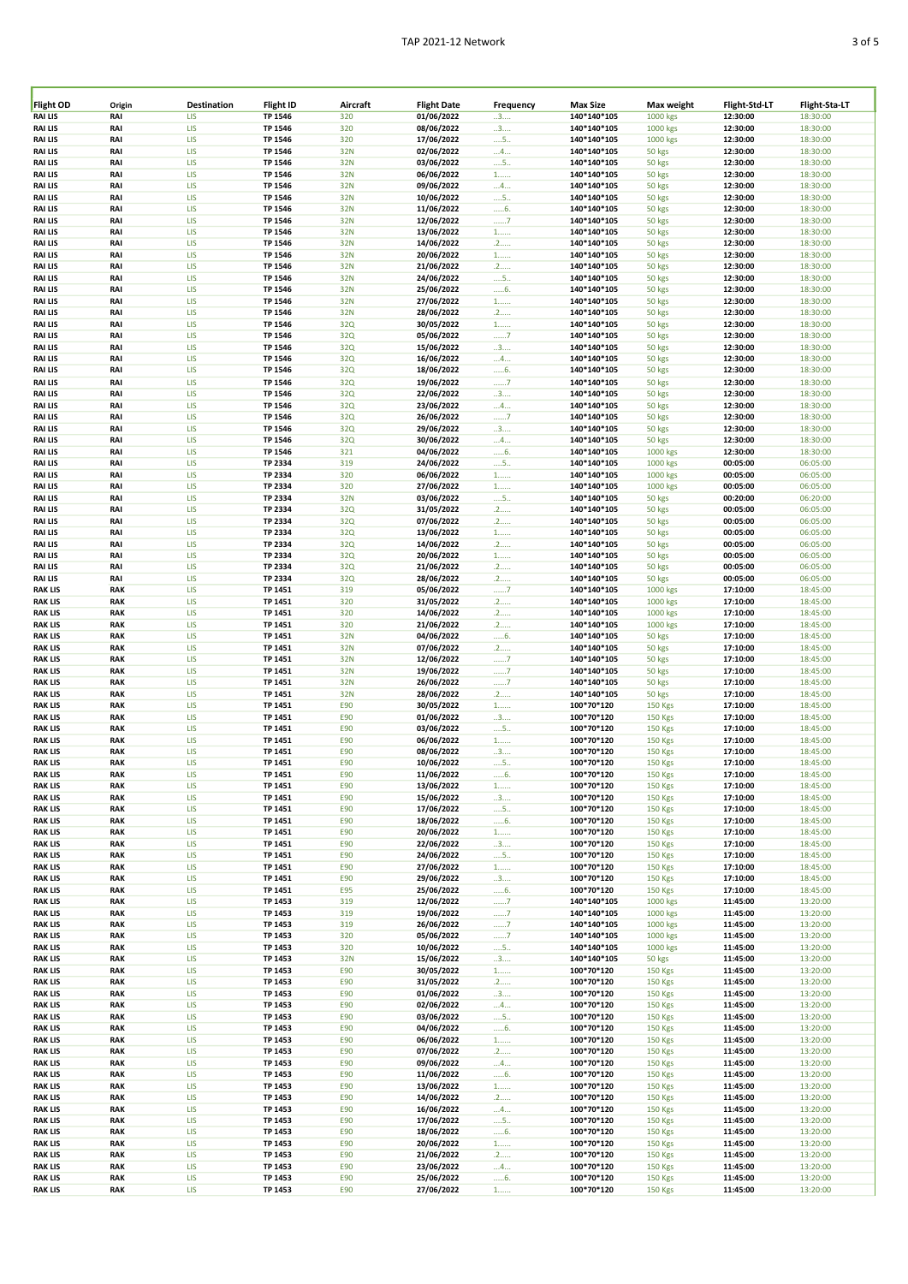| Flight OD | Origin     | Destination | <b>Flight ID</b> | Aircraft   | <b>Flight Date</b> | Frequency         | <b>Max Size</b> | Max weight     | Flight-Std-LT | Flight-Sta-LT |
|-----------|------------|-------------|------------------|------------|--------------------|-------------------|-----------------|----------------|---------------|---------------|
| RAI LIS   | RAI        | LIS         | TP 1546          | 320        | 01/06/2022         | 3                 | 140*140*105     | 1000 kgs       | 12:30:00      | 18:30:00      |
| RAI LIS   | RAI        | LIS         | TP 1546          | 320        | 08/06/2022         | 3                 | 140*140*105     | 1000 kgs       | 12:30:00      | 18:30:00      |
|           |            |             |                  |            |                    |                   |                 |                |               |               |
| RAI LIS   | RAI        | LIS         | <b>TP 1546</b>   | 320        | 17/06/2022         | $\dots$ 5.        | 140*140*105     | 1000 kgs       | 12:30:00      | 18:30:00      |
| RAI LIS   | RAI        | LIS         | TP 1546          | 32N        | 02/06/2022         | 4                 | 140*140*105     | 50 kgs         | 12:30:00      | 18:30:00      |
| RAI LIS   | RAI        | LIS         | <b>TP 1546</b>   | 32N        | 03/06/2022         | $\dots$ 5.        | 140*140*105     | 50 kgs         | 12:30:00      | 18:30:00      |
| RAI LIS   | RAI        | LIS         | TP 1546          | 32N        | 06/06/2022         | $1$               | 140*140*105     | 50 kgs         | 12:30:00      | 18:30:00      |
| RAI LIS   | RAI        | LIS         | TP 1546          | 32N        | 09/06/2022         | $\dots$ 4         | 140*140*105     | 50 kgs         | 12:30:00      | 18:30:00      |
|           |            |             |                  |            |                    |                   | 140*140*105     |                | 12:30:00      |               |
| RAI LIS   | RAI        | LIS         | TP 1546          | 32N        | 10/06/2022         | $\dots$ 5.        |                 | 50 kgs         |               | 18:30:00      |
| RAI LIS   | RAI        | LIS         | <b>TP 1546</b>   | 32N        | 11/06/2022         | 6                 | 140*140*105     | 50 kgs         | 12:30:00      | 18:30:00      |
| RAI LIS   | RAI        | LIS         | TP 1546          | 32N        | 12/06/2022         | 7                 | 140*140*105     | 50 kgs         | 12:30:00      | 18:30:00      |
| RAI LIS   | RAI        | LIS         | <b>TP 1546</b>   | 32N        | 13/06/2022         | $1$               | 140*140*105     | 50 kgs         | 12:30:00      | 18:30:00      |
| RAI LIS   | RAI        | LIS         | TP 1546          | 32N        | 14/06/2022         |                   | 140*140*105     | 50 kgs         | 12:30:00      | 18:30:00      |
|           |            |             |                  |            |                    | .2                |                 |                |               |               |
| RAI LIS   | RAI        | LIS         | TP 1546          | 32N        | 20/06/2022         | $1$               | 140*140*105     | 50 kgs         | 12:30:00      | 18:30:00      |
| RAI LIS   | RAI        | LIS         | TP 1546          | 32N        | 21/06/2022         | .2                | 140*140*105     | 50 kgs         | 12:30:00      | 18:30:00      |
| RAI LIS   | RAI        | LIS         | TP 1546          | 32N        | 24/06/2022         | $\dots$ 5         | 140*140*105     | 50 kgs         | 12:30:00      | 18:30:00      |
| RAI LIS   | RAI        | LIS         | TP 1546          | 32N        | 25/06/2022         | 6                 | 140*140*105     | 50 kgs         | 12:30:00      | 18:30:00      |
|           |            |             |                  |            |                    |                   |                 |                |               |               |
| RAI LIS   | RAI        | LIS         | TP 1546          | 32N        | 27/06/2022         | $1$               | 140*140*105     | 50 kgs         | 12:30:00      | 18:30:00      |
| RAI LIS   | RAI        | LIS         | TP 1546          | 32N        | 28/06/2022         | .2                | 140*140*105     | 50 kgs         | 12:30:00      | 18:30:00      |
| RAI LIS   | RAI        | LIS         | TP 1546          | 32Q        | 30/05/2022         | $1$               | 140*140*105     | 50 kgs         | 12:30:00      | 18:30:00      |
| RAI LIS   | RAI        | LIS         | TP 1546          | 32Q        | 05/06/2022         | 7                 | 140*140*105     | 50 kgs         | 12:30:00      | 18:30:00      |
|           |            |             |                  |            |                    |                   |                 |                |               |               |
| RAI LIS   | RAI        | LIS         | TP 1546          | 32Q        | 15/06/2022         | 3                 | 140*140*105     | 50 kgs         | 12:30:00      | 18:30:00      |
| RAI LIS   | RAI        | LIS         | TP 1546          | 32Q        | 16/06/2022         | $\dots$ 4         | 140*140*105     | 50 kgs         | 12:30:00      | 18:30:00      |
| RAI LIS   | RAI        | LIS         | TP 1546          | 32Q        | 18/06/2022         | 6                 | 140*140*105     | 50 kgs         | 12:30:00      | 18:30:00      |
| RAI LIS   | RAI        | LIS         | TP 1546          | 32Q        | 19/06/2022         | 7                 | 140*140*105     | 50 kgs         | 12:30:00      | 18:30:00      |
| RAI LIS   | RAI        | LIS         | TP 1546          | 32Q        | 22/06/2022         |                   | 140*140*105     | 50 kgs         | 12:30:00      | 18:30:00      |
|           |            |             |                  |            |                    | 3                 |                 |                |               |               |
| RAI LIS   | RAI        | LIS         | <b>TP 1546</b>   | 32Q        | 23/06/2022         | $\dots$ 4         | 140*140*105     | 50 kgs         | 12:30:00      | 18:30:00      |
| RAI LIS   | RAI        | LIS         | TP 1546          | 32Q        | 26/06/2022         | 7                 | 140*140*105     | 50 kgs         | 12:30:00      | 18:30:00      |
| RAI LIS   | RAI        | LIS         | TP 1546          | 32Q        | 29/06/2022         | 3                 | 140*140*105     | 50 kgs         | 12:30:00      | 18:30:00      |
| RAI LIS   | RAI        | LIS         | TP 1546          | 32Q        | 30/06/2022         | $\dots$ 4 $\dots$ | 140*140*105     | 50 kgs         | 12:30:00      | 18:30:00      |
|           |            |             |                  |            |                    |                   |                 |                |               |               |
| RAI LIS   | RAI        | LIS         | TP 1546          | 321        | 04/06/2022         | 6                 | 140*140*105     | 1000 kgs       | 12:30:00      | 18:30:00      |
| RAI LIS   | RAI        | LIS         | TP 2334          | 319        | 24/06/2022         | $\dots$ 5.        | 140*140*105     | 1000 kgs       | 00:05:00      | 06:05:00      |
| RAI LIS   | RAI        | LIS         | TP 2334          | 320        | 06/06/2022         | $1$               | 140*140*105     | 1000 kgs       | 00:05:00      | 06:05:00      |
| RAI LIS   | RAI        | LIS         | TP 2334          | 320        | 27/06/2022         | $1$               | 140*140*105     | 1000 kgs       | 00:05:00      | 06:05:00      |
|           |            |             |                  |            |                    |                   |                 |                |               |               |
| RAI LIS   | RAI        | LIS         | TP 2334          | 32N        | 03/06/2022         | $\dots$ 5         | 140*140*105     | 50 kgs         | 00:20:00      | 06:20:00      |
| RAI LIS   | RAI        | LIS         | TP 2334          | 32Q        | 31/05/2022         | .2                | 140*140*105     | 50 kgs         | 00:05:00      | 06:05:00      |
| RAI LIS   | RAI        | LIS         | TP 2334          | 32Q        | 07/06/2022         | .2                | 140*140*105     | 50 kgs         | 00:05:00      | 06:05:00      |
| RAI LIS   | RAI        | LIS         | TP 2334          | 32Q        | 13/06/2022         | $1$               | 140*140*105     | 50 kgs         | 00:05:00      | 06:05:00      |
|           |            |             |                  |            |                    |                   |                 |                |               |               |
| RAI LIS   | RAI        | LIS         | TP 2334          | 32Q        | 14/06/2022         | .2                | 140*140*105     | 50 kgs         | 00:05:00      | 06:05:00      |
| RAI LIS   | RAI        | LIS         | TP 2334          | 32Q        | 20/06/2022         | $1$               | 140*140*105     | 50 kgs         | 00:05:00      | 06:05:00      |
| RAI LIS   | RAI        | LIS         | TP 2334          | 32Q        | 21/06/2022         | .2                | 140*140*105     | 50 kgs         | 00:05:00      | 06:05:00      |
| RAI LIS   | RAI        | LIS         | TP 2334          | 32Q        | 28/06/2022         | .2                | 140*140*105     | 50 kgs         | 00:05:00      | 06:05:00      |
|           | <b>RAK</b> | LIS         |                  | 319        |                    |                   |                 |                |               |               |
| RAK LIS   |            |             | TP 1451          |            | 05/06/2022         | 7                 | 140*140*105     | 1000 kgs       | 17:10:00      | 18:45:00      |
| RAK LIS   | <b>RAK</b> | LIS         | TP 1451          | 320        | 31/05/2022         | .2                | 140*140*105     | 1000 kgs       | 17:10:00      | 18:45:00      |
| RAK LIS   | <b>RAK</b> | LIS         | TP 1451          | 320        | 14/06/2022         | .2                | 140*140*105     | 1000 kgs       | 17:10:00      | 18:45:00      |
| RAK LIS   | <b>RAK</b> | LIS         | TP 1451          | 320        | 21/06/2022         | .2                | 140*140*105     | 1000 kgs       | 17:10:00      | 18:45:00      |
| RAK LIS   | <b>RAK</b> | LIS         | TP 1451          | 32N        | 04/06/2022         | 6.                | 140*140*105     | 50 kgs         | 17:10:00      | 18:45:00      |
|           |            |             |                  |            |                    |                   |                 |                |               |               |
| RAK LIS   | <b>RAK</b> | LIS         | TP 1451          | 32N        | 07/06/2022         | .2                | 140*140*105     | 50 kgs         | 17:10:00      | 18:45:00      |
| RAK LIS   | <b>RAK</b> | LIS         | TP 1451          | 32N        | 12/06/2022         | 7                 | 140*140*105     | 50 kgs         | 17:10:00      | 18:45:00      |
| RAK LIS   | <b>RAK</b> | LIS         | TP 1451          | 32N        | 19/06/2022         | 7                 | 140*140*105     | 50 kgs         | 17:10:00      | 18:45:00      |
| RAK LIS   | <b>RAK</b> | LIS         | TP 1451          | 32N        | 26/06/2022         | 7                 | 140*140*105     | 50 kgs         | 17:10:00      | 18:45:00      |
|           |            |             |                  |            |                    |                   |                 |                |               |               |
| RAK LIS   | <b>RAK</b> | LIS         | TP 1451          | 32N        | 28/06/2022         | .2                | 140*140*105     | 50 kgs         | 17:10:00      | 18:45:00      |
| RAK LIS   | <b>RAK</b> | LIS         | TP 1451          | E90        | 30/05/2022         | $1$               | 100*70*120      | <b>150 Kgs</b> | 17:10:00      | 18:45:00      |
| RAK LIS   | <b>RAK</b> | LIS         | TP 1451          | E90        | 01/06/2022         | 3                 | 100*70*120      | <b>150 Kgs</b> | 17:10:00      | 18:45:00      |
| RAK LIS   | <b>RAK</b> | LIS         | TP 1451          | E90        | 03/06/2022         | $\dots$ 5         | 100*70*120      | <b>150 Kgs</b> | 17:10:00      | 18:45:00      |
|           |            |             |                  |            |                    |                   |                 |                |               |               |
| RAK LIS   | <b>RAK</b> | LIS         | TP 1451          | E90        | 06/06/2022         | $1$               | 100*70*120      | <b>150 Kgs</b> | 17:10:00      | 18:45:00      |
| RAK LIS   | <b>RAK</b> | LIS         | TP 1451          | E90        | 08/06/2022         | 3                 | 100*70*120      | <b>150 Kgs</b> | 17:10:00      | 18:45:00      |
| RAK LIS   | <b>RAK</b> | LIS         | TP 1451          | E90        | 10/06/2022         | $\dots$ 5         | 100*70*120      | <b>150 Kgs</b> | 17:10:00      | 18:45:00      |
| KAK LIS   | KAK        | LI5         | TP 1451          | <b>E90</b> | 11/06/2022         | b                 | 100*70*120      | 150 Kgs        | 17.10.00      | 18:45:00      |
| RAK LIS   | <b>RAK</b> | LIS         | TP 1451          | E90        | 13/06/2022         | $1$               | 100*70*120      | <b>150 Kgs</b> | 17:10:00      | 18:45:00      |
|           |            |             |                  |            |                    |                   |                 |                |               |               |
| RAK LIS   | <b>RAK</b> | LIS         | TP 1451          | <b>E90</b> | 15/06/2022         | 3                 | 100*70*120      | <b>150 Kgs</b> | 17:10:00      | 18:45:00      |
| RAK LIS   | <b>RAK</b> | LIS         | TP 1451          | E90        | 17/06/2022         | 5                 | 100*70*120      | <b>150 Kgs</b> | 17:10:00      | 18:45:00      |
| RAK LIS   | <b>RAK</b> | LIS         | TP 1451          | E90        | 18/06/2022         | 6.                | 100*70*120      | <b>150 Kgs</b> | 17:10:00      | 18:45:00      |
| RAK LIS   | <b>RAK</b> | LIS         | TP 1451          | E90        | 20/06/2022         | $1$               | 100*70*120      | <b>150 Kgs</b> | 17:10:00      | 18:45:00      |
| RAK LIS   | <b>RAK</b> | LIS         | TP 1451          | E90        | 22/06/2022         | 3                 | 100*70*120      | <b>150 Kgs</b> | 17:10:00      | 18:45:00      |
|           |            |             |                  |            |                    |                   |                 |                |               |               |
| RAK LIS   | <b>RAK</b> | LIS         | TP 1451          | E90        | 24/06/2022         | $\dots$ 5         | 100*70*120      | <b>150 Kgs</b> | 17:10:00      | 18:45:00      |
| RAK LIS   | <b>RAK</b> | LIS         | TP 1451          | E90        | 27/06/2022         | $1$               | 100*70*120      | <b>150 Kgs</b> | 17:10:00      | 18:45:00      |
| RAK LIS   | <b>RAK</b> | LIS         | TP 1451          | E90        | 29/06/2022         | 3                 | 100*70*120      | <b>150 Kgs</b> | 17:10:00      | 18:45:00      |
| RAK LIS   | <b>RAK</b> | LIS         | TP 1451          | E95        | 25/06/2022         | 6.                | 100*70*120      | <b>150 Kgs</b> | 17:10:00      | 18:45:00      |
| RAK LIS   | <b>RAK</b> | LIS         | TP 1453          | 319        | 12/06/2022         | 7                 | 140*140*105     | 1000 kgs       | 11:45:00      | 13:20:00      |
|           |            |             |                  |            | 19/06/2022         |                   | 140*140*105     |                |               |               |
| RAK LIS   | <b>RAK</b> | LIS         | TP 1453          | 319        |                    | 7                 |                 | 1000 kgs       | 11:45:00      | 13:20:00      |
| RAK LIS   | <b>RAK</b> | LIS         | TP 1453          | 319        | 26/06/2022         | 7                 | 140*140*105     | 1000 kgs       | 11:45:00      | 13:20:00      |
| RAK LIS   | <b>RAK</b> | LIS         | TP 1453          | 320        | 05/06/2022         | 7                 | 140*140*105     | 1000 kgs       | 11:45:00      | 13:20:00      |
| RAK LIS   | <b>RAK</b> | LIS         | TP 1453          | 320        | 10/06/2022         | $\dots$ 5         | 140*140*105     | 1000 kgs       | 11:45:00      | 13:20:00      |
| RAK LIS   | <b>RAK</b> | LIS         | TP 1453          | 32N        | 15/06/2022         | 3                 | 140*140*105     | 50 kgs         | 11:45:00      | 13:20:00      |
|           |            |             |                  |            |                    |                   |                 |                |               |               |
| RAK LIS   | <b>RAK</b> | LIS         | TP 1453          | E90        | 30/05/2022         | $1$               | 100*70*120      | <b>150 Kgs</b> | 11:45:00      | 13:20:00      |
| RAK LIS   | <b>RAK</b> | LIS         | TP 1453          | E90        | 31/05/2022         | .2                | 100*70*120      | <b>150 Kgs</b> | 11:45:00      | 13:20:00      |
| RAK LIS   | <b>RAK</b> | LIS         | TP 1453          | E90        | 01/06/2022         | 3                 | 100*70*120      | <b>150 Kgs</b> | 11:45:00      | 13:20:00      |
| RAK LIS   | <b>RAK</b> | LIS         | TP 1453          | E90        | 02/06/2022         | $\dots$ 4 $\dots$ | 100*70*120      | <b>150 Kgs</b> | 11:45:00      | 13:20:00      |
|           |            |             |                  |            |                    |                   |                 |                |               |               |
| RAK LIS   | <b>RAK</b> | LIS         | TP 1453          | E90        | 03/06/2022         | $\dots$ 5         | 100*70*120      | <b>150 Kgs</b> | 11:45:00      | 13:20:00      |
| RAK LIS   | <b>RAK</b> | LIS         | TP 1453          | E90        | 04/06/2022         | 6.                | 100*70*120      | <b>150 Kgs</b> | 11:45:00      | 13:20:00      |
| RAK LIS   | <b>RAK</b> | LIS         | TP 1453          | E90        | 06/06/2022         | $1^{}$            | 100*70*120      | <b>150 Kgs</b> | 11:45:00      | 13:20:00      |
| RAK LIS   | <b>RAK</b> | LIS         | TP 1453          | E90        | 07/06/2022         | .2                | 100*70*120      | <b>150 Kgs</b> | 11:45:00      | 13:20:00      |
| RAK LIS   | <b>RAK</b> | LIS         | TP 1453          | E90        |                    |                   | 100*70*120      |                | 11:45:00      | 13:20:00      |
|           |            |             |                  |            | 09/06/2022         | $\dots$ 4 $\dots$ |                 | <b>150 Kgs</b> |               |               |
| RAK LIS   | <b>RAK</b> | LIS         | TP 1453          | E90        | 11/06/2022         | 6.                | 100*70*120      | <b>150 Kgs</b> | 11:45:00      | 13:20:00      |
| RAK LIS   | <b>RAK</b> | LIS         | TP 1453          | E90        | 13/06/2022         | $1$               | 100*70*120      | <b>150 Kgs</b> | 11:45:00      | 13:20:00      |
| RAK LIS   | <b>RAK</b> | LIS         | TP 1453          | E90        | 14/06/2022         | .2                | 100*70*120      | <b>150 Kgs</b> | 11:45:00      | 13:20:00      |
| RAK LIS   | <b>RAK</b> | LIS         | TP 1453          | E90        | 16/06/2022         | $\dots$ 4         | 100*70*120      | <b>150 Kgs</b> | 11:45:00      | 13:20:00      |
|           |            |             |                  |            |                    |                   |                 |                |               |               |
| RAK LIS   | <b>RAK</b> | LIS         | TP 1453          | E90        | 17/06/2022         | 5                 | 100*70*120      | <b>150 Kgs</b> | 11:45:00      | 13:20:00      |
| RAK LIS   | <b>RAK</b> | LIS         | TP 1453          | E90        | 18/06/2022         | 6                 | 100*70*120      | <b>150 Kgs</b> | 11:45:00      | 13:20:00      |
| RAK LIS   | <b>RAK</b> | LIS         | TP 1453          | E90        | 20/06/2022         | $1$               | 100*70*120      | <b>150 Kgs</b> | 11:45:00      | 13:20:00      |
| RAK LIS   | <b>RAK</b> | LIS         | TP 1453          | E90        | 21/06/2022         | .2                | 100*70*120      | <b>150 Kgs</b> | 11:45:00      | 13:20:00      |
| RAK LIS   | <b>RAK</b> | LIS         | TP 1453          | E90        | 23/06/2022         | 4                 | 100*70*120      | <b>150 Kgs</b> | 11:45:00      | 13:20:00      |
|           |            |             |                  |            |                    |                   |                 |                |               |               |
| RAK LIS   | <b>RAK</b> | LIS         | TP 1453          | E90        | 25/06/2022         | 6                 | 100*70*120      | <b>150 Kgs</b> | 11:45:00      | 13:20:00      |
| RAK LIS   | <b>RAK</b> | LIS         | TP 1453          | E90        | 27/06/2022         | $1$               | 100*70*120      | <b>150 Kgs</b> | 11:45:00      | 13:20:00      |
|           |            |             |                  |            |                    |                   |                 |                |               |               |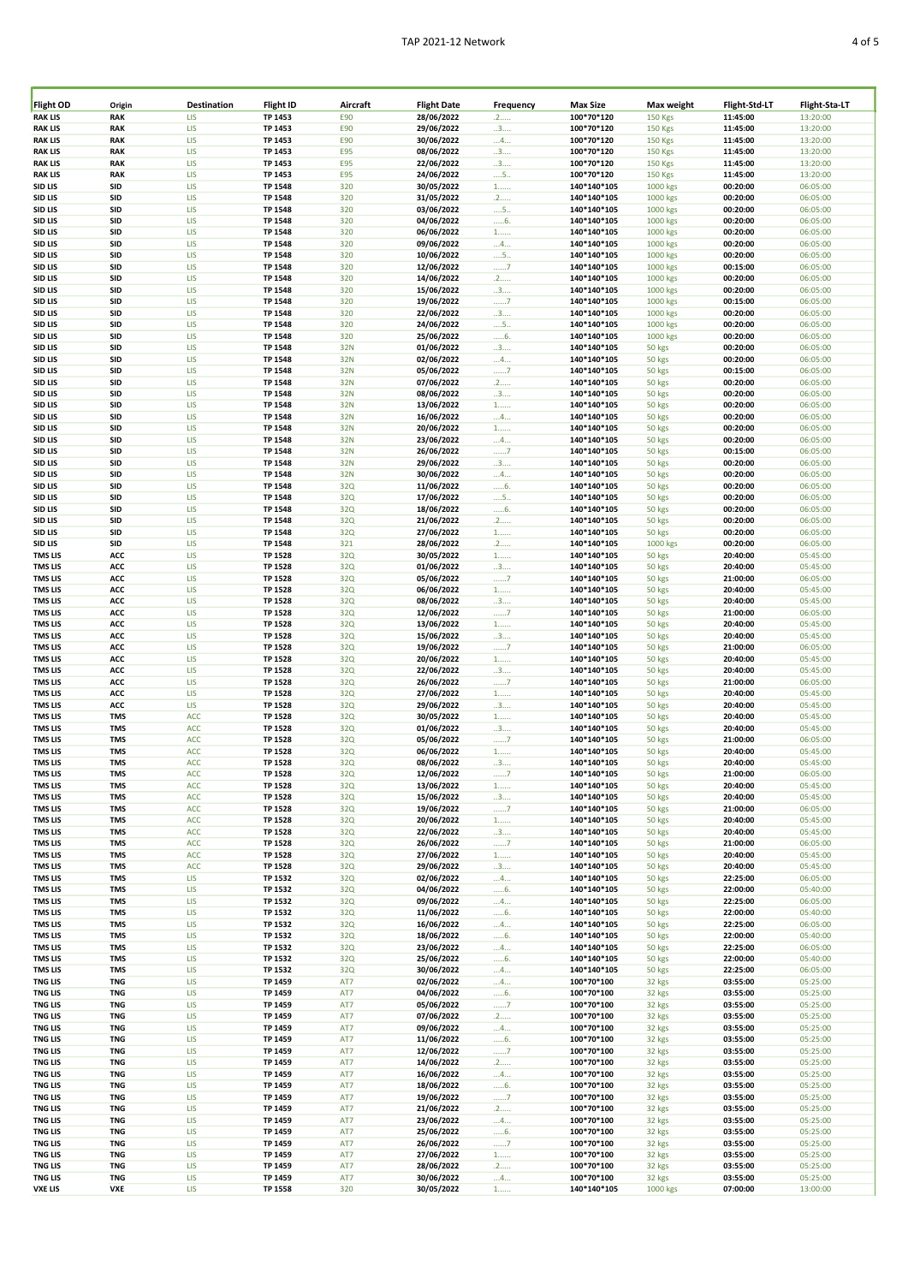| Flight OD      | Origin     | <b>Destination</b> | Flight ID      | Aircraft   | <b>Flight Date</b> | Frequency         | <b>Max Size</b> | Max weight     | Flight-Std-LT | Flight-Sta-LT |
|----------------|------------|--------------------|----------------|------------|--------------------|-------------------|-----------------|----------------|---------------|---------------|
| <b>RAK LIS</b> | <b>RAK</b> | LIS                | TP 1453        | E90        | 28/06/2022         | .2                | 100*70*120      | <b>150 Kgs</b> | 11:45:00      | 13:20:00      |
| <b>RAK LIS</b> | <b>RAK</b> | LIS                | TP 1453        | E90        | 29/06/2022         | 3                 | 100*70*120      | <b>150 Kgs</b> | 11:45:00      | 13:20:00      |
| <b>RAK LIS</b> | <b>RAK</b> | LIS                | TP 1453        | E90        | 30/06/2022         | 4                 | 100*70*120      | <b>150 Kgs</b> | 11:45:00      | 13:20:00      |
|                |            |                    |                |            |                    |                   |                 |                |               |               |
| <b>RAK LIS</b> | <b>RAK</b> | <b>LIS</b>         | TP 1453        | <b>E95</b> | 08/06/2022         | 3                 | 100*70*120      | <b>150 Kgs</b> | 11:45:00      | 13:20:00      |
| <b>RAK LIS</b> | <b>RAK</b> | LIS                | TP 1453        | <b>E95</b> | 22/06/2022         | 3                 | 100*70*120      | <b>150 Kgs</b> | 11:45:00      | 13:20:00      |
| <b>RAK LIS</b> | <b>RAK</b> | LIS                | TP 1453        | <b>E95</b> | 24/06/2022         | $\dots$ 5.        | 100*70*120      | <b>150 Kgs</b> | 11:45:00      | 13:20:00      |
| SID LIS        | SID        | LIS                | <b>TP 1548</b> | 320        | 30/05/2022         | $1$               | 140*140*105     | 1000 kgs       | 00:20:00      | 06:05:00      |
|                | SID        | LIS                |                | 320        | 31/05/2022         |                   |                 |                |               |               |
| SID LIS        |            |                    | <b>TP 1548</b> |            |                    | .2                | 140*140*105     | 1000 kgs       | 00:20:00      | 06:05:00      |
| SID LIS        | SID        | LIS                | <b>TP 1548</b> | 320        | 03/06/2022         | $\dots$ 5.        | 140*140*105     | 1000 kgs       | 00:20:00      | 06:05:00      |
| SID LIS        | <b>SID</b> | <b>LIS</b>         | TP 1548        | 320        | 04/06/2022         | 6.                | 140*140*105     | 1000 kgs       | 00:20:00      | 06:05:00      |
| SID LIS        | SID        | LIS                | TP 1548        | 320        | 06/06/2022         | $1$               | 140*140*105     | 1000 kgs       | 00:20:00      | 06:05:00      |
|                |            |                    |                |            | 09/06/2022         |                   |                 |                |               |               |
| SID LIS        | SID        | LIS                | TP 1548        | 320        |                    | $\dots$ 4         | 140*140*105     | 1000 kgs       | 00:20:00      | 06:05:00      |
| SID LIS        | SID        | LIS                | TP 1548        | 320        | 10/06/2022         | $\dots$ 5.        | 140*140*105     | 1000 kgs       | 00:20:00      | 06:05:00      |
| SID LIS        | SID        | LIS                | <b>TP 1548</b> | 320        | 12/06/2022         | 7                 | 140*140*105     | 1000 kgs       | 00:15:00      | 06:05:00      |
| SID LIS        | SID        | LIS                | TP 1548        | 320        | 14/06/2022         | .2                | 140*140*105     | 1000 kgs       | 00:20:00      | 06:05:00      |
| SID LIS        | SID        | LIS                | <b>TP 1548</b> | 320        | 15/06/2022         | 3                 | 140*140*105     | 1000 kgs       | 00:20:00      | 06:05:00      |
|                |            |                    |                |            |                    |                   |                 |                |               |               |
| SID LIS        | <b>SID</b> | <b>LIS</b>         | <b>TP 1548</b> | 320        | 19/06/2022         | 7                 | 140*140*105     | 1000 kgs       | 00:15:00      | 06:05:00      |
| SID LIS        | SID        | LIS                | <b>TP 1548</b> | 320        | 22/06/2022         | 3                 | 140*140*105     | 1000 kgs       | 00:20:00      | 06:05:00      |
| SID LIS        | <b>SID</b> | LIS                | TP 1548        | 320        | 24/06/2022         | $\dots$ 5.        | 140*140*105     | 1000 kgs       | 00:20:00      | 06:05:00      |
| SID LIS        | <b>SID</b> | LIS                | <b>TP 1548</b> | 320        | 25/06/2022         | 6                 | 140*140*105     | 1000 kgs       | 00:20:00      | 06:05:00      |
| SID LIS        | <b>SID</b> | LIS                | <b>TP 1548</b> | 32N        | 01/06/2022         | 3                 | 140*140*105     | 50 kgs         | 00:20:00      | 06:05:00      |
|                |            |                    |                |            |                    |                   |                 |                |               |               |
| SID LIS        | SID        | LIS                | TP 1548        | 32N        | 02/06/2022         | 4                 | 140*140*105     | 50 kgs         | 00:20:00      | 06:05:00      |
| SID LIS        | <b>SID</b> | LIS                | <b>TP 1548</b> | 32N        | 05/06/2022         | 7                 | 140*140*105     | 50 kgs         | 00:15:00      | 06:05:00      |
| SID LIS        | SID        | LIS                | <b>TP 1548</b> | 32N        | 07/06/2022         | .2                | 140*140*105     | 50 kgs         | 00:20:00      | 06:05:00      |
| SID LIS        | SID        | LIS                | TP 1548        | 32N        | 08/06/2022         | 3                 | 140*140*105     | 50 kgs         | 00:20:00      | 06:05:00      |
|                |            |                    |                |            |                    |                   |                 |                |               |               |
| SID LIS        | SID        | LIS                | <b>TP 1548</b> | 32N        | 13/06/2022         | $1$               | 140*140*105     | 50 kgs         | 00:20:00      | 06:05:00      |
| SID LIS        | SID        | LIS                | TP 1548        | 32N        | 16/06/2022         | 4                 | 140*140*105     | 50 kgs         | 00:20:00      | 06:05:00      |
| SID LIS        | <b>SID</b> | LIS                | TP 1548        | 32N        | 20/06/2022         | $1$               | 140*140*105     | 50 kgs         | 00:20:00      | 06:05:00      |
| SID LIS        | SID        | LIS                | TP 1548        | 32N        | 23/06/2022         | $\dots$ 4         | 140*140*105     | 50 kgs         | 00:20:00      | 06:05:00      |
| SID LIS        | SID        | LIS                | TP 1548        | 32N        | 26/06/2022         |                   | 140*140*105     | 50 kgs         | 00:15:00      | 06:05:00      |
|                |            |                    |                |            |                    | 7                 |                 |                |               |               |
| SID LIS        | SID        | <b>LIS</b>         | TP 1548        | 32N        | 29/06/2022         | 3                 | 140*140*105     | 50 kgs         | 00:20:00      | 06:05:00      |
| SID LIS        | SID        | LIS                | TP 1548        | 32N        | 30/06/2022         | $\dots$ 4         | 140*140*105     | 50 kgs         | 00:20:00      | 06:05:00      |
| SID LIS        | SID        | LIS                | TP 1548        | 32Q        | 11/06/2022         | 6                 | 140*140*105     | 50 kgs         | 00:20:00      | 06:05:00      |
| SID LIS        | SID        | <b>LIS</b>         | <b>TP 1548</b> | 32Q        | 17/06/2022         | $\dots$ 5.        | 140*140*105     | 50 kgs         | 00:20:00      | 06:05:00      |
|                |            |                    |                |            |                    |                   |                 |                |               |               |
| SID LIS        | SID        | LIS                | <b>TP 1548</b> | 32Q        | 18/06/2022         | 6                 | 140*140*105     | 50 kgs         | 00:20:00      | 06:05:00      |
| SID LIS        | SID        | LIS                | TP 1548        | 32Q        | 21/06/2022         | .2                | 140*140*105     | 50 kgs         | 00:20:00      | 06:05:00      |
| SID LIS        | SID        | LIS                | <b>TP 1548</b> | 32Q        | 27/06/2022         | $1$               | 140*140*105     | 50 kgs         | 00:20:00      | 06:05:00      |
| SID LIS        | SID        | LIS                | TP 1548        | 321        | 28/06/2022         | .2                | 140*140*105     | 1000 kgs       | 00:20:00      | 06:05:00      |
|                |            | LIS                |                |            |                    |                   |                 |                | 20:40:00      |               |
| <b>TMS LIS</b> | ACC        |                    | TP 1528        | 32Q        | 30/05/2022         | $1$               | 140*140*105     | 50 kgs         |               | 05:45:00      |
| <b>TMS LIS</b> | ACC        | LIS                | <b>TP 1528</b> | 32Q        | 01/06/2022         | 3                 | 140*140*105     | 50 kgs         | 20:40:00      | 05:45:00      |
| <b>TMS LIS</b> | ACC        | LIS                | <b>TP 1528</b> | 32Q        | 05/06/2022         | 7                 | 140*140*105     | 50 kgs         | 21:00:00      | 06:05:00      |
| <b>TMS LIS</b> | ACC        | LIS                | <b>TP 1528</b> | 32Q        | 06/06/2022         | $1$               | 140*140*105     | 50 kgs         | 20:40:00      | 05:45:00      |
| <b>TMS LIS</b> | ACC        | LIS                | <b>TP 1528</b> | 32Q        | 08/06/2022         | 3                 | 140*140*105     | 50 kgs         | 20:40:00      | 05:45:00      |
|                | ACC        | <b>LIS</b>         |                | <b>32Q</b> |                    |                   |                 |                |               |               |
| <b>TMS LIS</b> |            |                    | <b>TP 1528</b> |            | 12/06/2022         | 7                 | 140*140*105     | 50 kgs         | 21:00:00      | 06:05:00      |
| <b>TMS LIS</b> | ACC        | LIS                | <b>TP 1528</b> | 32Q        | 13/06/2022         | $1, \ldots,$      | 140*140*105     | 50 kgs         | 20:40:00      | 05:45:00      |
| <b>TMS LIS</b> | ACC        | LIS                | <b>TP 1528</b> | 32Q        | 15/06/2022         | 3                 | 140*140*105     | 50 kgs         | 20:40:00      | 05:45:00      |
| <b>TMS LIS</b> | ACC        | LIS                | <b>TP 1528</b> | 32Q        | 19/06/2022         | 7                 | 140*140*105     | 50 kgs         | 21:00:00      | 06:05:00      |
| <b>TMS LIS</b> | ACC        | LIS                | <b>TP 1528</b> | 32Q        | 20/06/2022         | $1$               | 140*140*105     | 50 kgs         | 20:40:00      | 05:45:00      |
|                |            |                    |                |            |                    |                   |                 |                |               |               |
| <b>TMS LIS</b> | ACC        | LIS                | <b>TP 1528</b> | 32Q        | 22/06/2022         | 3                 | 140*140*105     | 50 kgs         | 20:40:00      | 05:45:00      |
| <b>TMS LIS</b> | ACC        | LIS                | <b>TP 1528</b> | 32Q        | 26/06/2022         | 7                 | 140*140*105     | 50 kgs         | 21:00:00      | 06:05:00      |
| <b>TMS LIS</b> | ACC        | LIS                | <b>TP 1528</b> | 32Q        | 27/06/2022         | $1$               | 140*140*105     | 50 kgs         | 20:40:00      | 05:45:00      |
| <b>TMS LIS</b> | ACC        | <b>LIS</b>         | <b>TP 1528</b> | 32Q        | 29/06/2022         | 3                 | 140*140*105     | 50 kgs         | 20:40:00      | 05:45:00      |
|                |            |                    |                |            | 30/05/2022         |                   |                 |                |               |               |
| <b>TMS LIS</b> | <b>TMS</b> | <b>ACC</b>         | <b>TP 1528</b> | 32Q        |                    | $1$               | 140*140*105     | 50 kgs         | 20:40:00      | 05:45:00      |
| <b>TMS LIS</b> | <b>TMS</b> | <b>ACC</b>         | <b>TP 1528</b> | 32Q        | 01/06/2022         | 3                 | 140*140*105     | 50 kgs         | 20:40:00      | 05:45:00      |
| <b>TMS LIS</b> | <b>TMS</b> | <b>ACC</b>         | <b>TP 1528</b> | 32Q        | 05/06/2022         | . 7               | 140*140*105     | 50 kgs         | 21:00:00      | 06:05:00      |
| <b>TMS LIS</b> | <b>TMS</b> | <b>ACC</b>         | <b>TP 1528</b> | 32Q        | 06/06/2022         | $1$               | 140*140*105     | 50 kgs         | 20:40:00      | 05:45:00      |
| <b>TMS LIS</b> | <b>TMS</b> | <b>ACC</b>         | <b>TP 1528</b> | 32Q        | 08/06/2022         | 3                 | 140*140*105     | 50 kgs         | 20:40:00      | 05:45:00      |
|                |            |                    |                |            |                    |                   |                 |                |               |               |
| <b>TMS LIS</b> | <b>TMS</b> | <b>ACC</b>         | <b>TP 1528</b> | 32Q        | 12/06/2022         | $\dots\dots$      | 140*140*105     | 50 kgs         | 21:00:00      | 06:05:00      |
| <b>TMS LIS</b> | <b>TMS</b> | <b>ACC</b>         | <b>TP 1528</b> | 32Q        | 13/06/2022         | $1$               | 140*140*105     | 50 kgs         | 20:40:00      | 05:45:00      |
| <b>TMS LIS</b> | <b>TMS</b> | <b>ACC</b>         | <b>TP 1528</b> | 32Q        | 15/06/2022         | 3                 | 140*140*105     | 50 kgs         | 20:40:00      | 05:45:00      |
| <b>TMS LIS</b> | <b>TMS</b> | <b>ACC</b>         | <b>TP 1528</b> | 32Q        | 19/06/2022         | $\dots 7$         | 140*140*105     | 50 kgs         | 21:00:00      | 06:05:00      |
| <b>TMS LIS</b> | <b>TMS</b> | <b>ACC</b>         | <b>TP 1528</b> | 32Q        | 20/06/2022         | $1$               | 140*140*105     | 50 kgs         | 20:40:00      | 05:45:00      |
| <b>TMS LIS</b> | <b>TMS</b> | <b>ACC</b>         | <b>TP 1528</b> | 32Q        | 22/06/2022         | 3                 | 140*140*105     | 50 kgs         | 20:40:00      | 05:45:00      |
|                |            |                    |                |            |                    |                   |                 |                |               |               |
| <b>TMS LIS</b> | <b>TMS</b> | <b>ACC</b>         | <b>TP 1528</b> | 32Q        | 26/06/2022         | 7                 | 140*140*105     | 50 kgs         | 21:00:00      | 06:05:00      |
| <b>TMS LIS</b> | <b>TMS</b> | <b>ACC</b>         | <b>TP 1528</b> | 32Q        | 27/06/2022         | $1$               | 140*140*105     | 50 kgs         | 20:40:00      | 05:45:00      |
| <b>TMS LIS</b> | <b>TMS</b> | <b>ACC</b>         | <b>TP 1528</b> | 32Q        | 29/06/2022         | 3                 | 140*140*105     | 50 kgs         | 20:40:00      | 05:45:00      |
| <b>TMS LIS</b> | <b>TMS</b> | LIS                | TP 1532        | 32Q        | 02/06/2022         | $\dots$ 4 $\dots$ | 140*140*105     | 50 kgs         | 22:25:00      | 06:05:00      |
| <b>TMS LIS</b> | <b>TMS</b> | LIS                | TP 1532        | 32Q        | 04/06/2022         | 6                 | 140*140*105     | 50 kgs         | 22:00:00      | 05:40:00      |
| <b>TMS LIS</b> | <b>TMS</b> | LIS                | TP 1532        | 32Q        | 09/06/2022         |                   | 140*140*105     |                | 22:25:00      | 06:05:00      |
|                |            |                    |                |            |                    | $\dots$ 4         |                 | 50 kgs         |               |               |
| <b>TMS LIS</b> | <b>TMS</b> | LIS                | TP 1532        | 32Q        | 11/06/2022         | 6.                | 140*140*105     | 50 kgs         | 22:00:00      | 05:40:00      |
| <b>TMS LIS</b> | <b>TMS</b> | LIS                | TP 1532        | 32Q        | 16/06/2022         | $\dots$ 4         | 140*140*105     | 50 kgs         | 22:25:00      | 06:05:00      |
| <b>TMS LIS</b> | <b>TMS</b> | LIS                | TP 1532        | 32Q        | 18/06/2022         | 6.                | 140*140*105     | 50 kgs         | 22:00:00      | 05:40:00      |
| <b>TMS LIS</b> | <b>TMS</b> | LIS                | TP 1532        | 32Q        | 23/06/2022         | $\dots$ 4         | 140*140*105     | 50 kgs         | 22:25:00      | 06:05:00      |
| <b>TMS LIS</b> | <b>TMS</b> | LIS                | TP 1532        | 32Q        | 25/06/2022         |                   | 140*140*105     |                | 22:00:00      | 05:40:00      |
|                |            |                    |                |            |                    | 6                 |                 | 50 kgs         |               |               |
| <b>TMS LIS</b> | <b>TMS</b> | LIS                | TP 1532        | 32Q        | 30/06/2022         | $\dots$ 4 $\dots$ | 140*140*105     | 50 kgs         | 22:25:00      | 06:05:00      |
| <b>TNG LIS</b> | <b>TNG</b> | LIS                | TP 1459        | AT7        | 02/06/2022         | $\dots$ 4 $\dots$ | 100*70*100      | 32 kgs         | 03:55:00      | 05:25:00      |
| <b>TNG LIS</b> | <b>TNG</b> | LIS                | TP 1459        | AT7        | 04/06/2022         | $6$ .             | 100*70*100      | 32 kgs         | 03:55:00      | 05:25:00      |
| <b>TNG LIS</b> | <b>TNG</b> | LIS                | TP 1459        | AT7        | 05/06/2022         | 7                 | 100*70*100      | 32 kgs         | 03:55:00      | 05:25:00      |
| <b>TNG LIS</b> | <b>TNG</b> | LIS                | TP 1459        | AT7        | 07/06/2022         | .2                | 100*70*100      | 32 kgs         | 03:55:00      | 05:25:00      |
|                |            |                    |                |            |                    |                   |                 |                |               |               |
| <b>TNG LIS</b> | <b>TNG</b> | LIS                | TP 1459        | AT7        | 09/06/2022         | 4                 | 100*70*100      | 32 kgs         | 03:55:00      | 05:25:00      |
| <b>TNG LIS</b> | <b>TNG</b> | LIS                | TP 1459        | AT7        | 11/06/2022         | 6                 | 100*70*100      | 32 kgs         | 03:55:00      | 05:25:00      |
| <b>TNG LIS</b> | <b>TNG</b> | LIS                | TP 1459        | AT7        | 12/06/2022         | 7                 | 100*70*100      | 32 kgs         | 03:55:00      | 05:25:00      |
| <b>TNG LIS</b> | <b>TNG</b> | <b>LIS</b>         | TP 1459        | AT7        | 14/06/2022         | .2                | 100*70*100      | 32 kgs         | 03:55:00      | 05:25:00      |
|                | <b>TNG</b> | <b>LIS</b>         |                |            |                    |                   | 100*70*100      |                |               |               |
| <b>TNG LIS</b> |            |                    | TP 1459        | AT7        | 16/06/2022         | $\dots$ 4 $\dots$ |                 | 32 kgs         | 03:55:00      | 05:25:00      |
| <b>TNG LIS</b> | <b>TNG</b> | LIS                | TP 1459        | AT7        | 18/06/2022         | 6                 | 100*70*100      | 32 kgs         | 03:55:00      | 05:25:00      |
| <b>TNG LIS</b> | <b>TNG</b> | <b>LIS</b>         | TP 1459        | AT7        | 19/06/2022         | 7                 | 100*70*100      | 32 kgs         | 03:55:00      | 05:25:00      |
| <b>TNG LIS</b> | <b>TNG</b> | LIS                | TP 1459        | AT7        | 21/06/2022         | .2                | 100*70*100      | 32 kgs         | 03:55:00      | 05:25:00      |
| <b>TNG LIS</b> | <b>TNG</b> | LIS                | TP 1459        | AT7        | 23/06/2022         | $\dots$ 4 $\dots$ | 100*70*100      | 32 kgs         | 03:55:00      | 05:25:00      |
|                |            |                    |                |            | 25/06/2022         |                   |                 |                |               |               |
| <b>TNG LIS</b> | <b>TNG</b> | LIS                | TP 1459        | AT7        |                    | 6                 | 100*70*100      | 32 kgs         | 03:55:00      | 05:25:00      |
| <b>TNG LIS</b> | <b>TNG</b> | LIS                | TP 1459        | AT7        | 26/06/2022         | 7                 | 100*70*100      | 32 kgs         | 03:55:00      | 05:25:00      |
| <b>TNG LIS</b> | <b>TNG</b> | LIS                | TP 1459        | AT7        | 27/06/2022         | $1$               | 100*70*100      | 32 kgs         | 03:55:00      | 05:25:00      |
| <b>TNG LIS</b> | <b>TNG</b> | LIS                | TP 1459        | AT7        | 28/06/2022         | .2                | 100*70*100      | 32 kgs         | 03:55:00      | 05:25:00      |
| <b>TNG LIS</b> | <b>TNG</b> | LIS                | TP 1459        | AT7        | 30/06/2022         | 4                 | 100*70*100      | 32 kgs         | 03:55:00      | 05:25:00      |
| <b>VXE LIS</b> | VXE        | LIS                | <b>TP 1558</b> | 320        | 30/05/2022         | $1$               | 140*140*105     | 1000 kgs       | 07:00:00      | 13:00:00      |
|                |            |                    |                |            |                    |                   |                 |                |               |               |